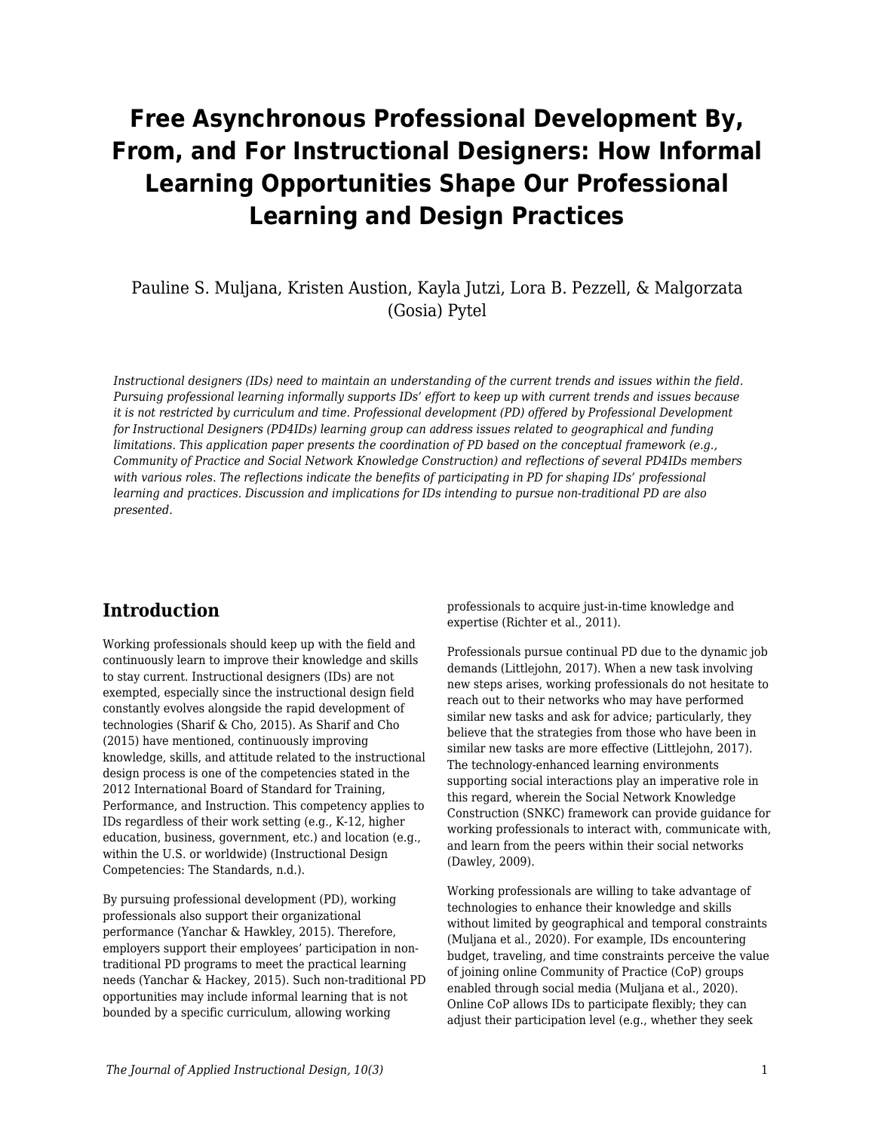# **Free Asynchronous Professional Development By, From, and For Instructional Designers: How Informal Learning Opportunities Shape Our Professional Learning and Design Practices**

### Pauline S. Muljana, Kristen Austion, Kayla Jutzi, Lora B. Pezzell, & Malgorzata (Gosia) Pytel

*Instructional designers (IDs) need to maintain an understanding of the current trends and issues within the field. Pursuing professional learning informally supports IDs' effort to keep up with current trends and issues because it is not restricted by curriculum and time. Professional development (PD) offered by Professional Development for Instructional Designers (PD4IDs) learning group can address issues related to geographical and funding limitations. This application paper presents the coordination of PD based on the conceptual framework (e.g., Community of Practice and Social Network Knowledge Construction) and reflections of several PD4IDs members with various roles. The reflections indicate the benefits of participating in PD for shaping IDs' professional learning and practices. Discussion and implications for IDs intending to pursue non-traditional PD are also presented.*

### **Introduction**

Working professionals should keep up with the field and continuously learn to improve their knowledge and skills to stay current. Instructional designers (IDs) are not exempted, especially since the instructional design field constantly evolves alongside the rapid development of technologies (Sharif & Cho, 2015). As Sharif and Cho (2015) have mentioned, continuously improving knowledge, skills, and attitude related to the instructional design process is one of the competencies stated in the 2012 International Board of Standard for Training, Performance, and Instruction. This competency applies to IDs regardless of their work setting (e.g., K-12, higher education, business, government, etc.) and location (e.g., within the U.S. or worldwide) (Instructional Design Competencies: The Standards, n.d.).

By pursuing professional development (PD), working professionals also support their organizational performance (Yanchar & Hawkley, 2015). Therefore, employers support their employees' participation in nontraditional PD programs to meet the practical learning needs (Yanchar & Hackey, 2015). Such non-traditional PD opportunities may include informal learning that is not bounded by a specific curriculum, allowing working

professionals to acquire just-in-time knowledge and expertise (Richter et al., 2011).

Professionals pursue continual PD due to the dynamic job demands (Littlejohn, 2017). When a new task involving new steps arises, working professionals do not hesitate to reach out to their networks who may have performed similar new tasks and ask for advice; particularly, they believe that the strategies from those who have been in similar new tasks are more effective (Littlejohn, 2017). The technology-enhanced learning environments supporting social interactions play an imperative role in this regard, wherein the Social Network Knowledge Construction (SNKC) framework can provide guidance for working professionals to interact with, communicate with, and learn from the peers within their social networks (Dawley, 2009).

Working professionals are willing to take advantage of technologies to enhance their knowledge and skills without limited by geographical and temporal constraints (Muljana et al., 2020). For example, IDs encountering budget, traveling, and time constraints perceive the value of joining online Community of Practice (CoP) groups enabled through social media (Muljana et al., 2020). Online CoP allows IDs to participate flexibly; they can adjust their participation level (e.g., whether they seek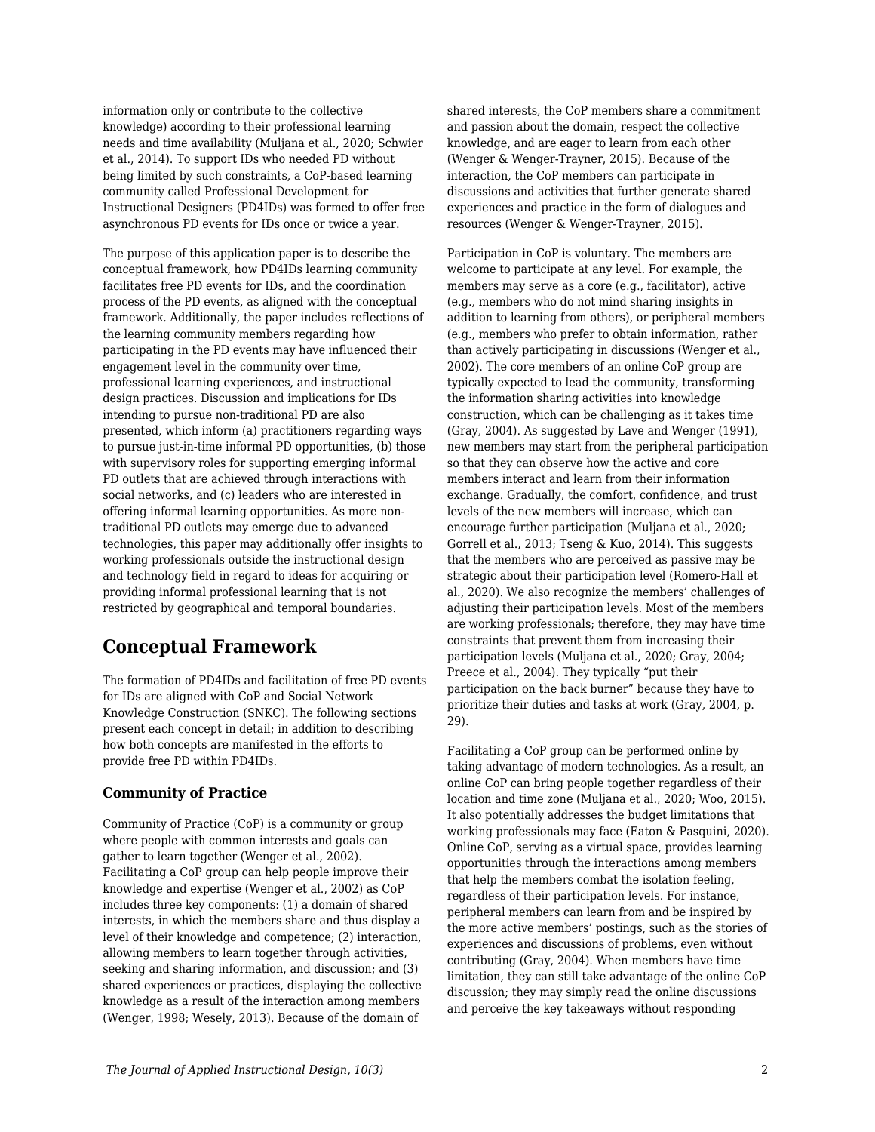information only or contribute to the collective knowledge) according to their professional learning needs and time availability (Muljana et al., 2020; Schwier et al., 2014). To support IDs who needed PD without being limited by such constraints, a CoP-based learning community called Professional Development for Instructional Designers (PD4IDs) was formed to offer free asynchronous PD events for IDs once or twice a year.

The purpose of this application paper is to describe the conceptual framework, how PD4IDs learning community facilitates free PD events for IDs, and the coordination process of the PD events, as aligned with the conceptual framework. Additionally, the paper includes reflections of the learning community members regarding how participating in the PD events may have influenced their engagement level in the community over time, professional learning experiences, and instructional design practices. Discussion and implications for IDs intending to pursue non-traditional PD are also presented, which inform (a) practitioners regarding ways to pursue just-in-time informal PD opportunities, (b) those with supervisory roles for supporting emerging informal PD outlets that are achieved through interactions with social networks, and (c) leaders who are interested in offering informal learning opportunities. As more nontraditional PD outlets may emerge due to advanced technologies, this paper may additionally offer insights to working professionals outside the instructional design and technology field in regard to ideas for acquiring or providing informal professional learning that is not restricted by geographical and temporal boundaries.

# **Conceptual Framework**

The formation of PD4IDs and facilitation of free PD events for IDs are aligned with CoP and Social Network Knowledge Construction (SNKC). The following sections present each concept in detail; in addition to describing how both concepts are manifested in the efforts to provide free PD within PD4IDs.

#### **Community of Practice**

Community of Practice (CoP) is a community or group where people with common interests and goals can gather to learn together (Wenger et al., 2002). Facilitating a CoP group can help people improve their knowledge and expertise (Wenger et al., 2002) as CoP includes three key components: (1) a domain of shared interests, in which the members share and thus display a level of their knowledge and competence; (2) interaction, allowing members to learn together through activities, seeking and sharing information, and discussion; and (3) shared experiences or practices, displaying the collective knowledge as a result of the interaction among members (Wenger, 1998; Wesely, 2013). Because of the domain of

shared interests, the CoP members share a commitment and passion about the domain, respect the collective knowledge, and are eager to learn from each other (Wenger & Wenger-Trayner, 2015). Because of the interaction, the CoP members can participate in discussions and activities that further generate shared experiences and practice in the form of dialogues and resources (Wenger & Wenger-Trayner, 2015).

Participation in CoP is voluntary. The members are welcome to participate at any level. For example, the members may serve as a core (e.g., facilitator), active (e.g., members who do not mind sharing insights in addition to learning from others), or peripheral members (e.g., members who prefer to obtain information, rather than actively participating in discussions (Wenger et al., 2002). The core members of an online CoP group are typically expected to lead the community, transforming the information sharing activities into knowledge construction, which can be challenging as it takes time (Gray, 2004). As suggested by Lave and Wenger (1991), new members may start from the peripheral participation so that they can observe how the active and core members interact and learn from their information exchange. Gradually, the comfort, confidence, and trust levels of the new members will increase, which can encourage further participation (Muljana et al., 2020; Gorrell et al., 2013; Tseng & Kuo, 2014). This suggests that the members who are perceived as passive may be strategic about their participation level (Romero-Hall et al., 2020). We also recognize the members' challenges of adjusting their participation levels. Most of the members are working professionals; therefore, they may have time constraints that prevent them from increasing their participation levels (Muljana et al., 2020; Gray, 2004; Preece et al., 2004). They typically "put their participation on the back burner" because they have to prioritize their duties and tasks at work (Gray, 2004, p. 29).

Facilitating a CoP group can be performed online by taking advantage of modern technologies. As a result, an online CoP can bring people together regardless of their location and time zone (Muljana et al., 2020; Woo, 2015). It also potentially addresses the budget limitations that working professionals may face (Eaton & Pasquini, 2020). Online CoP, serving as a virtual space, provides learning opportunities through the interactions among members that help the members combat the isolation feeling, regardless of their participation levels. For instance, peripheral members can learn from and be inspired by the more active members' postings, such as the stories of experiences and discussions of problems, even without contributing (Gray, 2004). When members have time limitation, they can still take advantage of the online CoP discussion; they may simply read the online discussions and perceive the key takeaways without responding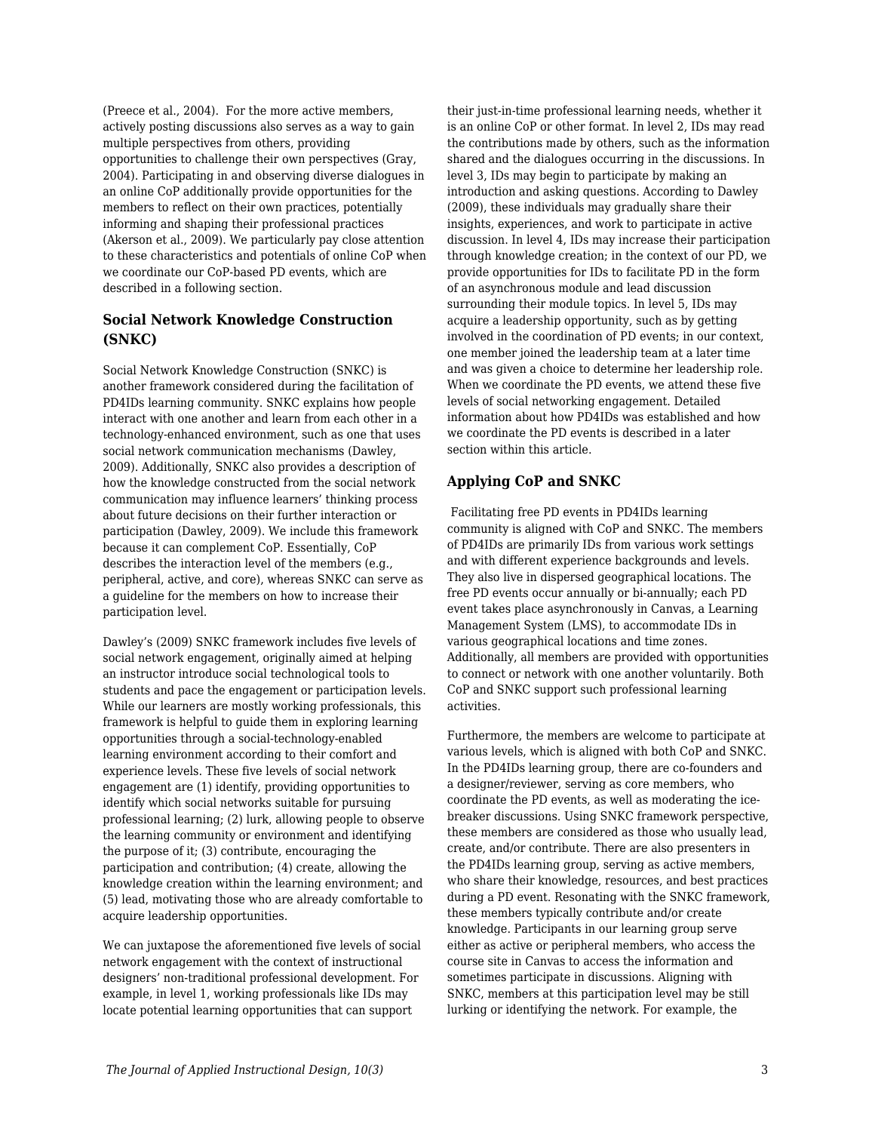(Preece et al., 2004). For the more active members, actively posting discussions also serves as a way to gain multiple perspectives from others, providing opportunities to challenge their own perspectives (Gray, 2004). Participating in and observing diverse dialogues in an online CoP additionally provide opportunities for the members to reflect on their own practices, potentially informing and shaping their professional practices (Akerson et al., 2009). We particularly pay close attention to these characteristics and potentials of online CoP when we coordinate our CoP-based PD events, which are described in a following section.

#### **Social Network Knowledge Construction (SNKC)**

Social Network Knowledge Construction (SNKC) is another framework considered during the facilitation of PD4IDs learning community. SNKC explains how people interact with one another and learn from each other in a technology-enhanced environment, such as one that uses social network communication mechanisms (Dawley, 2009). Additionally, SNKC also provides a description of how the knowledge constructed from the social network communication may influence learners' thinking process about future decisions on their further interaction or participation (Dawley, 2009). We include this framework because it can complement CoP. Essentially, CoP describes the interaction level of the members (e.g., peripheral, active, and core), whereas SNKC can serve as a guideline for the members on how to increase their participation level.

Dawley's (2009) SNKC framework includes five levels of social network engagement, originally aimed at helping an instructor introduce social technological tools to students and pace the engagement or participation levels. While our learners are mostly working professionals, this framework is helpful to guide them in exploring learning opportunities through a social-technology-enabled learning environment according to their comfort and experience levels. These five levels of social network engagement are (1) identify, providing opportunities to identify which social networks suitable for pursuing professional learning; (2) lurk, allowing people to observe the learning community or environment and identifying the purpose of it; (3) contribute, encouraging the participation and contribution; (4) create, allowing the knowledge creation within the learning environment; and (5) lead, motivating those who are already comfortable to acquire leadership opportunities.

We can juxtapose the aforementioned five levels of social network engagement with the context of instructional designers' non-traditional professional development. For example, in level 1, working professionals like IDs may locate potential learning opportunities that can support

their just-in-time professional learning needs, whether it is an online CoP or other format. In level 2, IDs may read the contributions made by others, such as the information shared and the dialogues occurring in the discussions. In level 3, IDs may begin to participate by making an introduction and asking questions. According to Dawley (2009), these individuals may gradually share their insights, experiences, and work to participate in active discussion. In level 4, IDs may increase their participation through knowledge creation; in the context of our PD, we provide opportunities for IDs to facilitate PD in the form of an asynchronous module and lead discussion surrounding their module topics. In level 5, IDs may acquire a leadership opportunity, such as by getting involved in the coordination of PD events; in our context, one member joined the leadership team at a later time and was given a choice to determine her leadership role. When we coordinate the PD events, we attend these five levels of social networking engagement. Detailed information about how PD4IDs was established and how we coordinate the PD events is described in a later section within this article.

#### **Applying CoP and SNKC**

 Facilitating free PD events in PD4IDs learning community is aligned with CoP and SNKC. The members of PD4IDs are primarily IDs from various work settings and with different experience backgrounds and levels. They also live in dispersed geographical locations. The free PD events occur annually or bi-annually; each PD event takes place asynchronously in Canvas, a Learning Management System (LMS), to accommodate IDs in various geographical locations and time zones. Additionally, all members are provided with opportunities to connect or network with one another voluntarily. Both CoP and SNKC support such professional learning activities.

Furthermore, the members are welcome to participate at various levels, which is aligned with both CoP and SNKC. In the PD4IDs learning group, there are co-founders and a designer/reviewer, serving as core members, who coordinate the PD events, as well as moderating the icebreaker discussions. Using SNKC framework perspective, these members are considered as those who usually lead, create, and/or contribute. There are also presenters in the PD4IDs learning group, serving as active members, who share their knowledge, resources, and best practices during a PD event. Resonating with the SNKC framework, these members typically contribute and/or create knowledge. Participants in our learning group serve either as active or peripheral members, who access the course site in Canvas to access the information and sometimes participate in discussions. Aligning with SNKC, members at this participation level may be still lurking or identifying the network. For example, the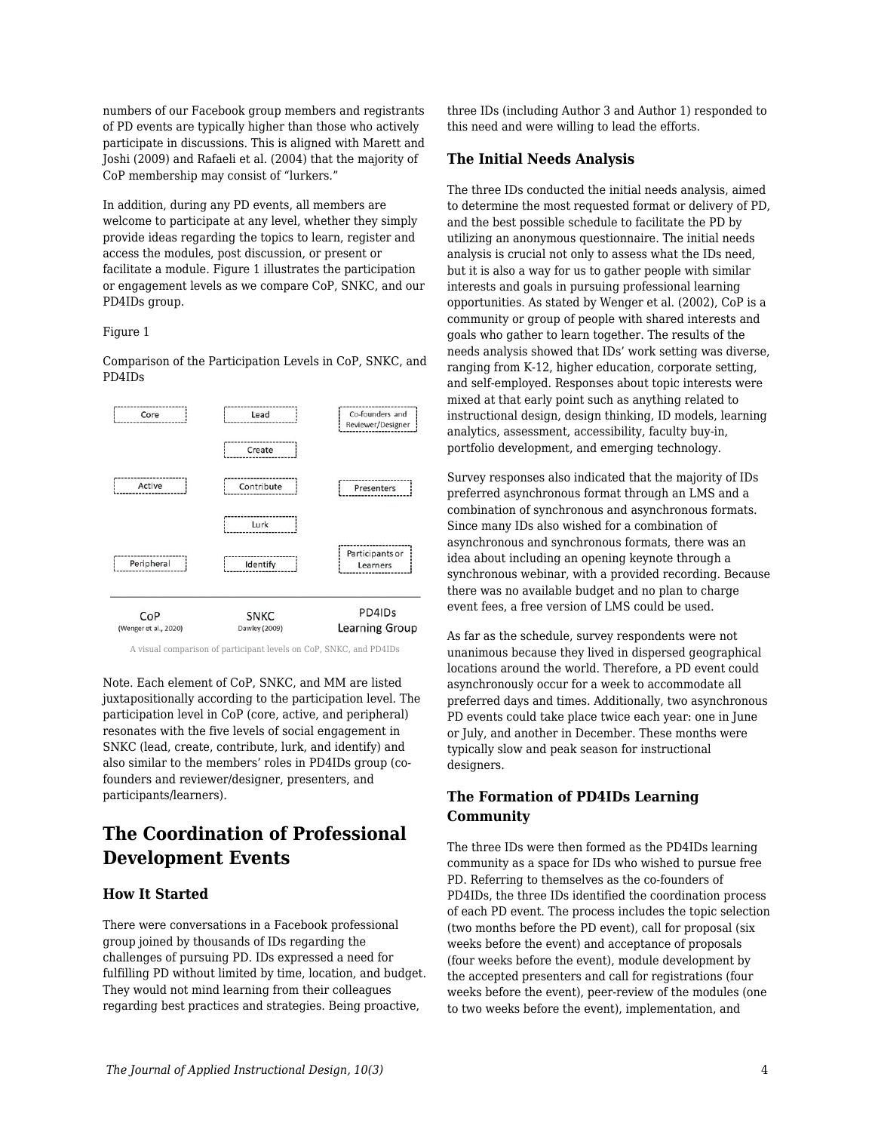numbers of our Facebook group members and registrants of PD events are typically higher than those who actively participate in discussions. This is aligned with Marett and Joshi (2009) and Rafaeli et al. (2004) that the majority of CoP membership may consist of "lurkers."

In addition, during any PD events, all members are welcome to participate at any level, whether they simply provide ideas regarding the topics to learn, register and access the modules, post discussion, or present or facilitate a module. Figure 1 illustrates the participation or engagement levels as we compare CoP, SNKC, and our PD4IDs group.

#### Figure 1

Comparison of the Participation Levels in CoP, SNKC, and PD4IDs



A visual comparison of participant levels on CoP, SNKC, and PD4IDs

Note. Each element of CoP, SNKC, and MM are listed juxtapositionally according to the participation level. The participation level in CoP (core, active, and peripheral) resonates with the five levels of social engagement in SNKC (lead, create, contribute, lurk, and identify) and also similar to the members' roles in PD4IDs group (cofounders and reviewer/designer, presenters, and participants/learners).

# **The Coordination of Professional Development Events**

#### **How It Started**

There were conversations in a Facebook professional group joined by thousands of IDs regarding the challenges of pursuing PD. IDs expressed a need for fulfilling PD without limited by time, location, and budget. They would not mind learning from their colleagues regarding best practices and strategies. Being proactive,

three IDs (including Author 3 and Author 1) responded to this need and were willing to lead the efforts.

#### **The Initial Needs Analysis**

The three IDs conducted the initial needs analysis, aimed to determine the most requested format or delivery of PD, and the best possible schedule to facilitate the PD by utilizing an anonymous questionnaire. The initial needs analysis is crucial not only to assess what the IDs need, but it is also a way for us to gather people with similar interests and goals in pursuing professional learning opportunities. As stated by Wenger et al. (2002), CoP is a community or group of people with shared interests and goals who gather to learn together. The results of the needs analysis showed that IDs' work setting was diverse, ranging from K-12, higher education, corporate setting, and self-employed. Responses about topic interests were mixed at that early point such as anything related to instructional design, design thinking, ID models, learning analytics, assessment, accessibility, faculty buy-in, portfolio development, and emerging technology.

Survey responses also indicated that the majority of IDs preferred asynchronous format through an LMS and a combination of synchronous and asynchronous formats. Since many IDs also wished for a combination of asynchronous and synchronous formats, there was an idea about including an opening keynote through a synchronous webinar, with a provided recording. Because there was no available budget and no plan to charge event fees, a free version of LMS could be used.

As far as the schedule, survey respondents were not unanimous because they lived in dispersed geographical locations around the world. Therefore, a PD event could asynchronously occur for a week to accommodate all preferred days and times. Additionally, two asynchronous PD events could take place twice each year: one in June or July, and another in December. These months were typically slow and peak season for instructional designers.

#### **The Formation of PD4IDs Learning Community**

The three IDs were then formed as the PD4IDs learning community as a space for IDs who wished to pursue free PD. Referring to themselves as the co-founders of PD4IDs, the three IDs identified the coordination process of each PD event. The process includes the topic selection (two months before the PD event), call for proposal (six weeks before the event) and acceptance of proposals (four weeks before the event), module development by the accepted presenters and call for registrations (four weeks before the event), peer-review of the modules (one to two weeks before the event), implementation, and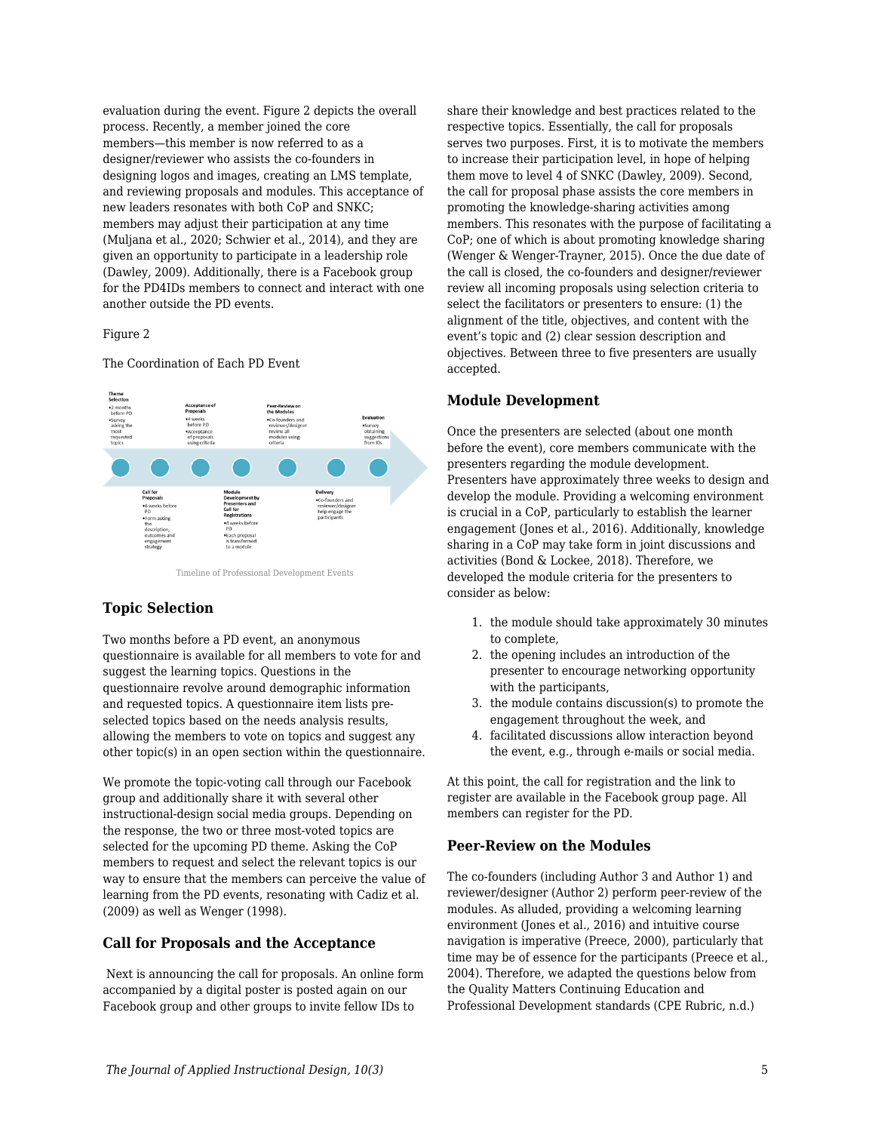evaluation during the event. Figure 2 depicts the overall process. Recently, a member joined the core members—this member is now referred to as a designer/reviewer who assists the co-founders in designing logos and images, creating an LMS template, and reviewing proposals and modules. This acceptance of new leaders resonates with both CoP and SNKC; members may adjust their participation at any time (Muljana et al., 2020; Schwier et al., 2014), and they are given an opportunity to participate in a leadership role (Dawley, 2009). Additionally, there is a Facebook group for the PD4IDs members to connect and interact with one another outside the PD events.

#### Figure 2

#### The Coordination of Each PD Event



Timeline of Professional Development Events

#### **Topic Selection**

Two months before a PD event, an anonymous questionnaire is available for all members to vote for and suggest the learning topics. Questions in the questionnaire revolve around demographic information and requested topics. A questionnaire item lists preselected topics based on the needs analysis results, allowing the members to vote on topics and suggest any other topic(s) in an open section within the questionnaire.

We promote the topic-voting call through our Facebook group and additionally share it with several other instructional-design social media groups. Depending on the response, the two or three most-voted topics are selected for the upcoming PD theme. Asking the CoP members to request and select the relevant topics is our way to ensure that the members can perceive the value of learning from the PD events, resonating with Cadiz et al. (2009) as well as Wenger (1998).

#### **Call for Proposals and the Acceptance**

 Next is announcing the call for proposals. An online form accompanied by a digital poster is posted again on our Facebook group and other groups to invite fellow IDs to

share their knowledge and best practices related to the respective topics. Essentially, the call for proposals serves two purposes. First, it is to motivate the members to increase their participation level, in hope of helping them move to level 4 of SNKC (Dawley, 2009). Second, the call for proposal phase assists the core members in promoting the knowledge-sharing activities among members. This resonates with the purpose of facilitating a CoP; one of which is about promoting knowledge sharing (Wenger & Wenger-Trayner, 2015). Once the due date of the call is closed, the co-founders and designer/reviewer review all incoming proposals using selection criteria to select the facilitators or presenters to ensure: (1) the alignment of the title, objectives, and content with the event's topic and (2) clear session description and objectives. Between three to five presenters are usually accepted.

#### **Module Development**

Once the presenters are selected (about one month before the event), core members communicate with the presenters regarding the module development. Presenters have approximately three weeks to design and develop the module. Providing a welcoming environment is crucial in a CoP, particularly to establish the learner engagement (Jones et al., 2016). Additionally, knowledge sharing in a CoP may take form in joint discussions and activities (Bond & Lockee, 2018). Therefore, we developed the module criteria for the presenters to consider as below:

- 1. the module should take approximately 30 minutes to complete,
- 2. the opening includes an introduction of the presenter to encourage networking opportunity with the participants,
- 3. the module contains discussion(s) to promote the engagement throughout the week, and
- 4. facilitated discussions allow interaction beyond the event, e.g., through e-mails or social media.

At this point, the call for registration and the link to register are available in the Facebook group page. All members can register for the PD.

#### **Peer-Review on the Modules**

The co-founders (including Author 3 and Author 1) and reviewer/designer (Author 2) perform peer-review of the modules. As alluded, providing a welcoming learning environment (Jones et al., 2016) and intuitive course navigation is imperative (Preece, 2000), particularly that time may be of essence for the participants (Preece et al., 2004). Therefore, we adapted the questions below from the Quality Matters Continuing Education and Professional Development standards (CPE Rubric, n.d.)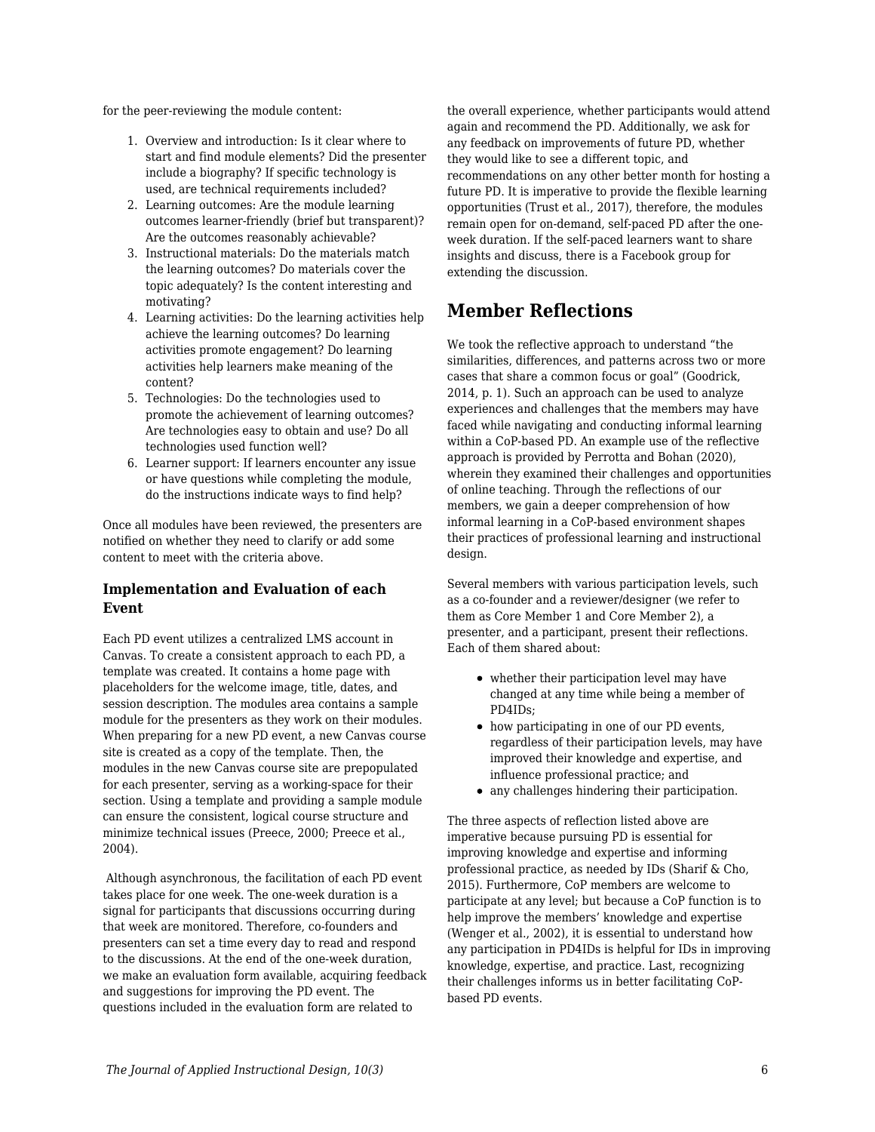for the peer-reviewing the module content:

- 1. Overview and introduction: Is it clear where to start and find module elements? Did the presenter include a biography? If specific technology is used, are technical requirements included?
- 2. Learning outcomes: Are the module learning outcomes learner-friendly (brief but transparent)? Are the outcomes reasonably achievable?
- 3. Instructional materials: Do the materials match the learning outcomes? Do materials cover the topic adequately? Is the content interesting and motivating?
- 4. Learning activities: Do the learning activities help achieve the learning outcomes? Do learning activities promote engagement? Do learning activities help learners make meaning of the content?
- 5. Technologies: Do the technologies used to promote the achievement of learning outcomes? Are technologies easy to obtain and use? Do all technologies used function well?
- 6. Learner support: If learners encounter any issue or have questions while completing the module, do the instructions indicate ways to find help?

Once all modules have been reviewed, the presenters are notified on whether they need to clarify or add some content to meet with the criteria above.

#### **Implementation and Evaluation of each Event**

Each PD event utilizes a centralized LMS account in Canvas. To create a consistent approach to each PD, a template was created. It contains a home page with placeholders for the welcome image, title, dates, and session description. The modules area contains a sample module for the presenters as they work on their modules. When preparing for a new PD event, a new Canvas course site is created as a copy of the template. Then, the modules in the new Canvas course site are prepopulated for each presenter, serving as a working-space for their section. Using a template and providing a sample module can ensure the consistent, logical course structure and minimize technical issues (Preece, 2000; Preece et al., 2004).

 Although asynchronous, the facilitation of each PD event takes place for one week. The one-week duration is a signal for participants that discussions occurring during that week are monitored. Therefore, co-founders and presenters can set a time every day to read and respond to the discussions. At the end of the one-week duration, we make an evaluation form available, acquiring feedback and suggestions for improving the PD event. The questions included in the evaluation form are related to

the overall experience, whether participants would attend again and recommend the PD. Additionally, we ask for any feedback on improvements of future PD, whether they would like to see a different topic, and recommendations on any other better month for hosting a future PD. It is imperative to provide the flexible learning opportunities (Trust et al., 2017), therefore, the modules remain open for on-demand, self-paced PD after the oneweek duration. If the self-paced learners want to share insights and discuss, there is a Facebook group for extending the discussion.

# **Member Reflections**

We took the reflective approach to understand "the similarities, differences, and patterns across two or more cases that share a common focus or goal" (Goodrick, 2014, p. 1). Such an approach can be used to analyze experiences and challenges that the members may have faced while navigating and conducting informal learning within a CoP-based PD. An example use of the reflective approach is provided by Perrotta and Bohan (2020), wherein they examined their challenges and opportunities of online teaching. Through the reflections of our members, we gain a deeper comprehension of how informal learning in a CoP-based environment shapes their practices of professional learning and instructional design.

Several members with various participation levels, such as a co-founder and a reviewer/designer (we refer to them as Core Member 1 and Core Member 2), a presenter, and a participant, present their reflections. Each of them shared about:

- whether their participation level may have changed at any time while being a member of PD4IDs;
- how participating in one of our PD events, regardless of their participation levels, may have improved their knowledge and expertise, and influence professional practice; and
- any challenges hindering their participation.

The three aspects of reflection listed above are imperative because pursuing PD is essential for improving knowledge and expertise and informing professional practice, as needed by IDs (Sharif & Cho, 2015). Furthermore, CoP members are welcome to participate at any level; but because a CoP function is to help improve the members' knowledge and expertise (Wenger et al., 2002), it is essential to understand how any participation in PD4IDs is helpful for IDs in improving knowledge, expertise, and practice. Last, recognizing their challenges informs us in better facilitating CoPbased PD events.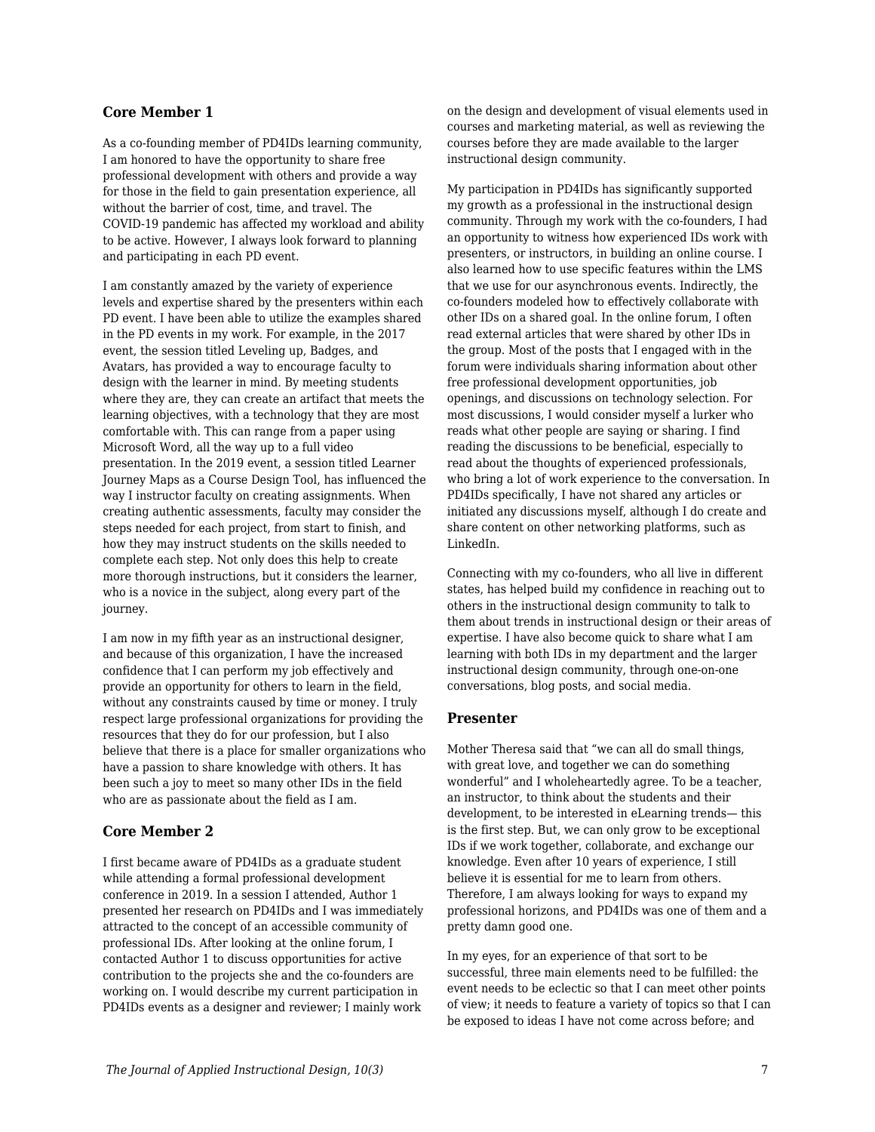#### **Core Member 1**

As a co-founding member of PD4IDs learning community, I am honored to have the opportunity to share free professional development with others and provide a way for those in the field to gain presentation experience, all without the barrier of cost, time, and travel. The COVID-19 pandemic has affected my workload and ability to be active. However, I always look forward to planning and participating in each PD event.

I am constantly amazed by the variety of experience levels and expertise shared by the presenters within each PD event. I have been able to utilize the examples shared in the PD events in my work. For example, in the 2017 event, the session titled Leveling up, Badges, and Avatars, has provided a way to encourage faculty to design with the learner in mind. By meeting students where they are, they can create an artifact that meets the learning objectives, with a technology that they are most comfortable with. This can range from a paper using Microsoft Word, all the way up to a full video presentation. In the 2019 event, a session titled Learner Journey Maps as a Course Design Tool, has influenced the way I instructor faculty on creating assignments. When creating authentic assessments, faculty may consider the steps needed for each project, from start to finish, and how they may instruct students on the skills needed to complete each step. Not only does this help to create more thorough instructions, but it considers the learner, who is a novice in the subject, along every part of the journey.

I am now in my fifth year as an instructional designer, and because of this organization, I have the increased confidence that I can perform my job effectively and provide an opportunity for others to learn in the field, without any constraints caused by time or money. I truly respect large professional organizations for providing the resources that they do for our profession, but I also believe that there is a place for smaller organizations who have a passion to share knowledge with others. It has been such a joy to meet so many other IDs in the field who are as passionate about the field as I am.

#### **Core Member 2**

I first became aware of PD4IDs as a graduate student while attending a formal professional development conference in 2019. In a session I attended, Author 1 presented her research on PD4IDs and I was immediately attracted to the concept of an accessible community of professional IDs. After looking at the online forum, I contacted Author 1 to discuss opportunities for active contribution to the projects she and the co-founders are working on. I would describe my current participation in PD4IDs events as a designer and reviewer; I mainly work

on the design and development of visual elements used in courses and marketing material, as well as reviewing the courses before they are made available to the larger instructional design community.

My participation in PD4IDs has significantly supported my growth as a professional in the instructional design community. Through my work with the co-founders, I had an opportunity to witness how experienced IDs work with presenters, or instructors, in building an online course. I also learned how to use specific features within the LMS that we use for our asynchronous events. Indirectly, the co-founders modeled how to effectively collaborate with other IDs on a shared goal. In the online forum, I often read external articles that were shared by other IDs in the group. Most of the posts that I engaged with in the forum were individuals sharing information about other free professional development opportunities, job openings, and discussions on technology selection. For most discussions, I would consider myself a lurker who reads what other people are saying or sharing. I find reading the discussions to be beneficial, especially to read about the thoughts of experienced professionals, who bring a lot of work experience to the conversation. In PD4IDs specifically, I have not shared any articles or initiated any discussions myself, although I do create and share content on other networking platforms, such as LinkedIn.

Connecting with my co-founders, who all live in different states, has helped build my confidence in reaching out to others in the instructional design community to talk to them about trends in instructional design or their areas of expertise. I have also become quick to share what I am learning with both IDs in my department and the larger instructional design community, through one-on-one conversations, blog posts, and social media.

#### **Presenter**

Mother Theresa said that "we can all do small things, with great love, and together we can do something wonderful" and I wholeheartedly agree. To be a teacher, an instructor, to think about the students and their development, to be interested in eLearning trends— this is the first step. But, we can only grow to be exceptional IDs if we work together, collaborate, and exchange our knowledge. Even after 10 years of experience, I still believe it is essential for me to learn from others. Therefore, I am always looking for ways to expand my professional horizons, and PD4IDs was one of them and a pretty damn good one.

In my eyes, for an experience of that sort to be successful, three main elements need to be fulfilled: the event needs to be eclectic so that I can meet other points of view; it needs to feature a variety of topics so that I can be exposed to ideas I have not come across before; and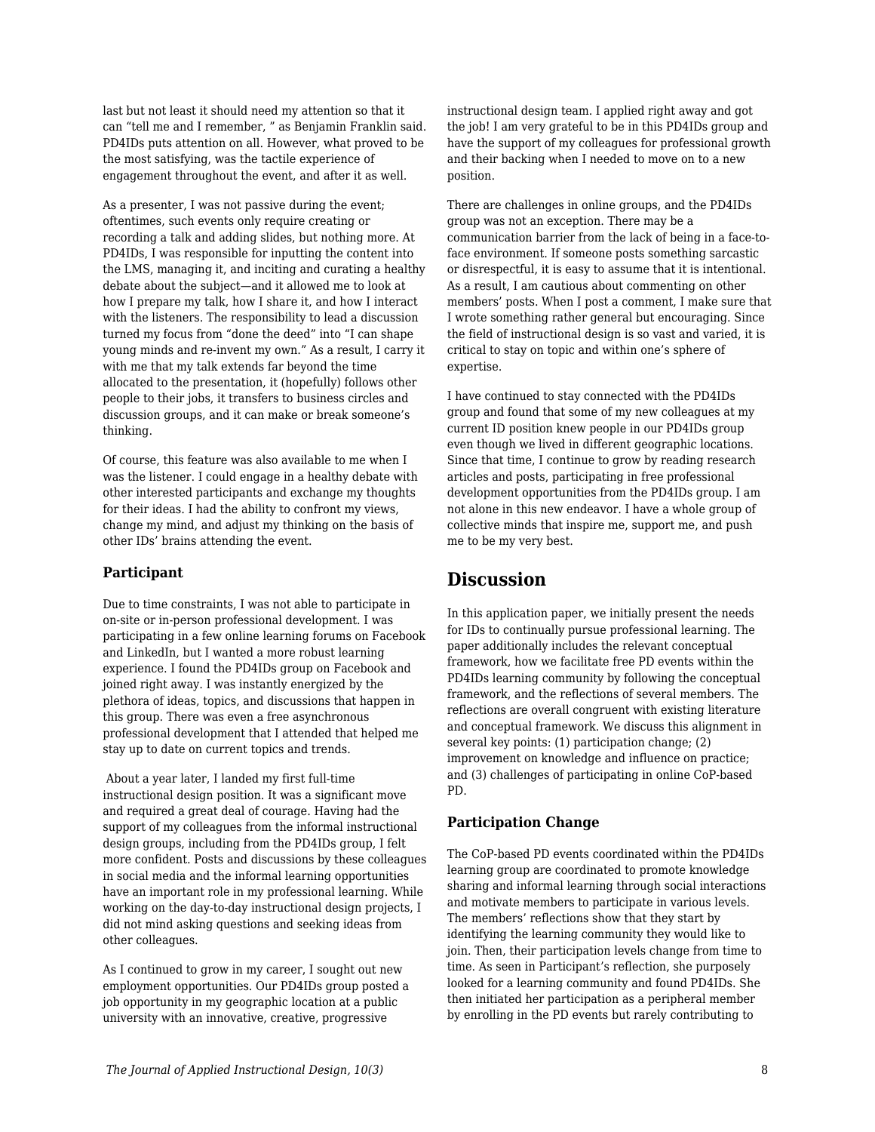last but not least it should need my attention so that it can "tell me and I remember, " as Benjamin Franklin said. PD4IDs puts attention on all. However, what proved to be the most satisfying, was the tactile experience of engagement throughout the event, and after it as well.

As a presenter, I was not passive during the event; oftentimes, such events only require creating or recording a talk and adding slides, but nothing more. At PD4IDs, I was responsible for inputting the content into the LMS, managing it, and inciting and curating a healthy debate about the subject—and it allowed me to look at how I prepare my talk, how I share it, and how I interact with the listeners. The responsibility to lead a discussion turned my focus from "done the deed" into "I can shape young minds and re-invent my own." As a result, I carry it with me that my talk extends far beyond the time allocated to the presentation, it (hopefully) follows other people to their jobs, it transfers to business circles and discussion groups, and it can make or break someone's thinking.

Of course, this feature was also available to me when I was the listener. I could engage in a healthy debate with other interested participants and exchange my thoughts for their ideas. I had the ability to confront my views, change my mind, and adjust my thinking on the basis of other IDs' brains attending the event.

#### **Participant**

Due to time constraints, I was not able to participate in on-site or in-person professional development. I was participating in a few online learning forums on Facebook and LinkedIn, but I wanted a more robust learning experience. I found the PD4IDs group on Facebook and joined right away. I was instantly energized by the plethora of ideas, topics, and discussions that happen in this group. There was even a free asynchronous professional development that I attended that helped me stay up to date on current topics and trends.

 About a year later, I landed my first full-time instructional design position. It was a significant move and required a great deal of courage. Having had the support of my colleagues from the informal instructional design groups, including from the PD4IDs group, I felt more confident. Posts and discussions by these colleagues in social media and the informal learning opportunities have an important role in my professional learning. While working on the day-to-day instructional design projects, I did not mind asking questions and seeking ideas from other colleagues.

As I continued to grow in my career. I sought out new employment opportunities. Our PD4IDs group posted a job opportunity in my geographic location at a public university with an innovative, creative, progressive

instructional design team. I applied right away and got the job! I am very grateful to be in this PD4IDs group and have the support of my colleagues for professional growth and their backing when I needed to move on to a new position.

There are challenges in online groups, and the PD4IDs group was not an exception. There may be a communication barrier from the lack of being in a face-toface environment. If someone posts something sarcastic or disrespectful, it is easy to assume that it is intentional. As a result, I am cautious about commenting on other members' posts. When I post a comment, I make sure that I wrote something rather general but encouraging. Since the field of instructional design is so vast and varied, it is critical to stay on topic and within one's sphere of expertise.

I have continued to stay connected with the PD4IDs group and found that some of my new colleagues at my current ID position knew people in our PD4IDs group even though we lived in different geographic locations. Since that time, I continue to grow by reading research articles and posts, participating in free professional development opportunities from the PD4IDs group. I am not alone in this new endeavor. I have a whole group of collective minds that inspire me, support me, and push me to be my very best.

# **Discussion**

In this application paper, we initially present the needs for IDs to continually pursue professional learning. The paper additionally includes the relevant conceptual framework, how we facilitate free PD events within the PD4IDs learning community by following the conceptual framework, and the reflections of several members. The reflections are overall congruent with existing literature and conceptual framework. We discuss this alignment in several key points: (1) participation change; (2) improvement on knowledge and influence on practice; and (3) challenges of participating in online CoP-based PD.

#### **Participation Change**

The CoP-based PD events coordinated within the PD4IDs learning group are coordinated to promote knowledge sharing and informal learning through social interactions and motivate members to participate in various levels. The members' reflections show that they start by identifying the learning community they would like to join. Then, their participation levels change from time to time. As seen in Participant's reflection, she purposely looked for a learning community and found PD4IDs. She then initiated her participation as a peripheral member by enrolling in the PD events but rarely contributing to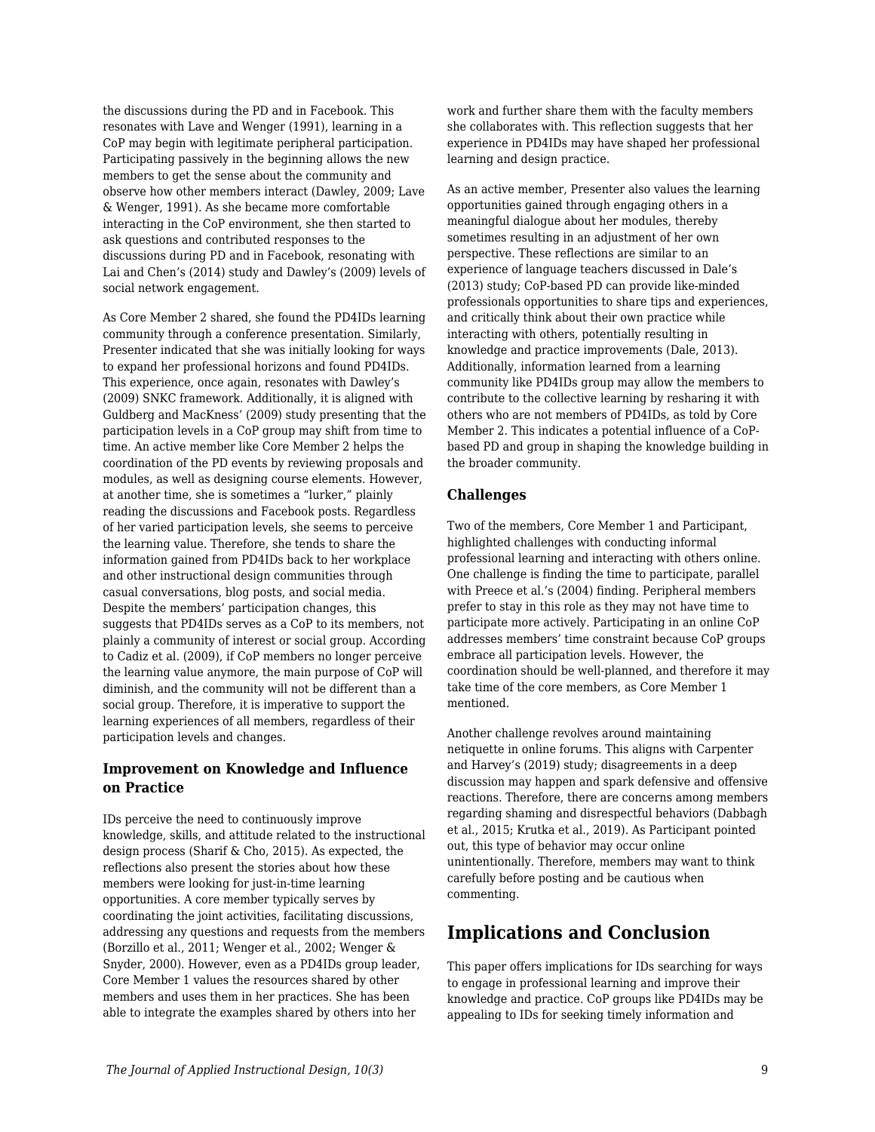the discussions during the PD and in Facebook. This resonates with Lave and Wenger (1991), learning in a CoP may begin with legitimate peripheral participation. Participating passively in the beginning allows the new members to get the sense about the community and observe how other members interact (Dawley, 2009; Lave & Wenger, 1991). As she became more comfortable interacting in the CoP environment, she then started to ask questions and contributed responses to the discussions during PD and in Facebook, resonating with Lai and Chen's (2014) study and Dawley's (2009) levels of social network engagement.

As Core Member 2 shared, she found the PD4IDs learning community through a conference presentation. Similarly, Presenter indicated that she was initially looking for ways to expand her professional horizons and found PD4IDs. This experience, once again, resonates with Dawley's (2009) SNKC framework. Additionally, it is aligned with Guldberg and MacKness' (2009) study presenting that the participation levels in a CoP group may shift from time to time. An active member like Core Member 2 helps the coordination of the PD events by reviewing proposals and modules, as well as designing course elements. However, at another time, she is sometimes a "lurker," plainly reading the discussions and Facebook posts. Regardless of her varied participation levels, she seems to perceive the learning value. Therefore, she tends to share the information gained from PD4IDs back to her workplace and other instructional design communities through casual conversations, blog posts, and social media. Despite the members' participation changes, this suggests that PD4IDs serves as a CoP to its members, not plainly a community of interest or social group. According to Cadiz et al. (2009), if CoP members no longer perceive the learning value anymore, the main purpose of CoP will diminish, and the community will not be different than a social group. Therefore, it is imperative to support the learning experiences of all members, regardless of their participation levels and changes.

#### **Improvement on Knowledge and Influence on Practice**

IDs perceive the need to continuously improve knowledge, skills, and attitude related to the instructional design process (Sharif & Cho, 2015). As expected, the reflections also present the stories about how these members were looking for just-in-time learning opportunities. A core member typically serves by coordinating the joint activities, facilitating discussions, addressing any questions and requests from the members (Borzillo et al., 2011; Wenger et al., 2002; Wenger & Snyder, 2000). However, even as a PD4IDs group leader, Core Member 1 values the resources shared by other members and uses them in her practices. She has been able to integrate the examples shared by others into her

work and further share them with the faculty members she collaborates with. This reflection suggests that her experience in PD4IDs may have shaped her professional learning and design practice.

As an active member, Presenter also values the learning opportunities gained through engaging others in a meaningful dialogue about her modules, thereby sometimes resulting in an adjustment of her own perspective. These reflections are similar to an experience of language teachers discussed in Dale's (2013) study; CoP-based PD can provide like-minded professionals opportunities to share tips and experiences, and critically think about their own practice while interacting with others, potentially resulting in knowledge and practice improvements (Dale, 2013). Additionally, information learned from a learning community like PD4IDs group may allow the members to contribute to the collective learning by resharing it with others who are not members of PD4IDs, as told by Core Member 2. This indicates a potential influence of a CoPbased PD and group in shaping the knowledge building in the broader community.

#### **Challenges**

Two of the members, Core Member 1 and Participant, highlighted challenges with conducting informal professional learning and interacting with others online. One challenge is finding the time to participate, parallel with Preece et al.'s (2004) finding. Peripheral members prefer to stay in this role as they may not have time to participate more actively. Participating in an online CoP addresses members' time constraint because CoP groups embrace all participation levels. However, the coordination should be well-planned, and therefore it may take time of the core members, as Core Member 1 mentioned.

Another challenge revolves around maintaining netiquette in online forums. This aligns with Carpenter and Harvey's (2019) study; disagreements in a deep discussion may happen and spark defensive and offensive reactions. Therefore, there are concerns among members regarding shaming and disrespectful behaviors (Dabbagh et al., 2015; Krutka et al., 2019). As Participant pointed out, this type of behavior may occur online unintentionally. Therefore, members may want to think carefully before posting and be cautious when commenting.

### **Implications and Conclusion**

This paper offers implications for IDs searching for ways to engage in professional learning and improve their knowledge and practice. CoP groups like PD4IDs may be appealing to IDs for seeking timely information and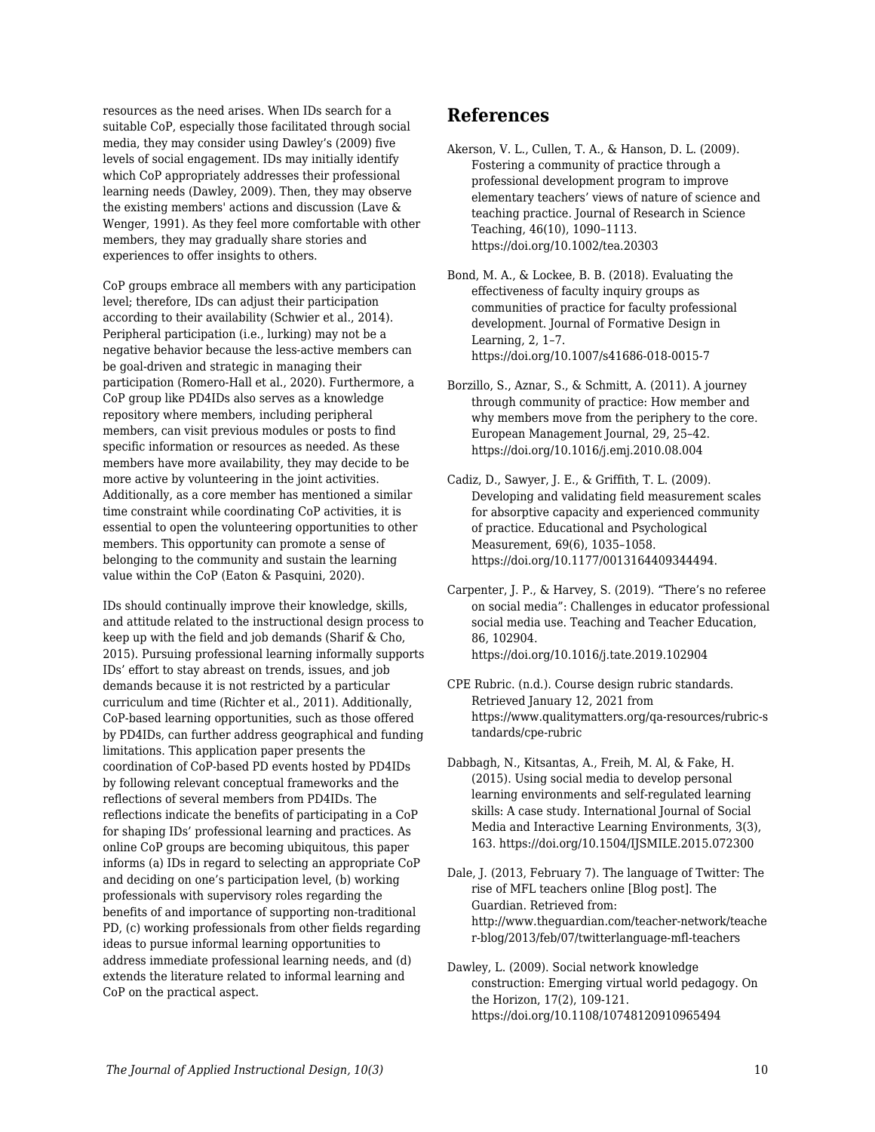resources as the need arises. When IDs search for a suitable CoP, especially those facilitated through social media, they may consider using Dawley's (2009) five levels of social engagement. IDs may initially identify which CoP appropriately addresses their professional learning needs (Dawley, 2009). Then, they may observe the existing members' actions and discussion (Lave & Wenger, 1991). As they feel more comfortable with other members, they may gradually share stories and experiences to offer insights to others.

CoP groups embrace all members with any participation level; therefore, IDs can adjust their participation according to their availability (Schwier et al., 2014). Peripheral participation (i.e., lurking) may not be a negative behavior because the less-active members can be goal-driven and strategic in managing their participation (Romero-Hall et al., 2020). Furthermore, a CoP group like PD4IDs also serves as a knowledge repository where members, including peripheral members, can visit previous modules or posts to find specific information or resources as needed. As these members have more availability, they may decide to be more active by volunteering in the joint activities. Additionally, as a core member has mentioned a similar time constraint while coordinating CoP activities, it is essential to open the volunteering opportunities to other members. This opportunity can promote a sense of belonging to the community and sustain the learning value within the CoP (Eaton & Pasquini, 2020).

IDs should continually improve their knowledge, skills, and attitude related to the instructional design process to keep up with the field and job demands (Sharif & Cho, 2015). Pursuing professional learning informally supports IDs' effort to stay abreast on trends, issues, and job demands because it is not restricted by a particular curriculum and time (Richter et al., 2011). Additionally, CoP-based learning opportunities, such as those offered by PD4IDs, can further address geographical and funding limitations. This application paper presents the coordination of CoP-based PD events hosted by PD4IDs by following relevant conceptual frameworks and the reflections of several members from PD4IDs. The reflections indicate the benefits of participating in a CoP for shaping IDs' professional learning and practices. As online CoP groups are becoming ubiquitous, this paper informs (a) IDs in regard to selecting an appropriate CoP and deciding on one's participation level, (b) working professionals with supervisory roles regarding the benefits of and importance of supporting non-traditional PD, (c) working professionals from other fields regarding ideas to pursue informal learning opportunities to address immediate professional learning needs, and (d) extends the literature related to informal learning and CoP on the practical aspect.

## **References**

- Akerson, V. L., Cullen, T. A., & Hanson, D. L. (2009). Fostering a community of practice through a professional development program to improve elementary teachers' views of nature of science and teaching practice. Journal of Research in Science Teaching, 46(10), 1090–1113. https://doi.org/10.1002/tea.20303
- Bond, M. A., & Lockee, B. B. (2018). Evaluating the effectiveness of faculty inquiry groups as communities of practice for faculty professional development. Journal of Formative Design in Learning, 2, 1–7. https://doi.org/10.1007/s41686-018-0015-7
- Borzillo, S., Aznar, S., & Schmitt, A. (2011). A journey through community of practice: How member and why members move from the periphery to the core. European Management Journal, 29, 25–42. https://doi.org/10.1016/j.emj.2010.08.004
- Cadiz, D., Sawyer, J. E., & Griffith, T. L. (2009). Developing and validating field measurement scales for absorptive capacity and experienced community of practice. Educational and Psychological Measurement, 69(6), 1035–1058. https://doi.org/10.1177/0013164409344494.
- Carpenter, J. P., & Harvey, S. (2019). "There's no referee on social media": Challenges in educator professional social media use. Teaching and Teacher Education, 86, 102904. https://doi.org/10.1016/j.tate.2019.102904
- CPE Rubric. (n.d.). Course design rubric standards. Retrieved January 12, 2021 from https://www.qualitymatters.org/qa-resources/rubric-s tandards/cpe-rubric
- Dabbagh, N., Kitsantas, A., Freih, M. Al, & Fake, H. (2015). Using social media to develop personal learning environments and self-regulated learning skills: A case study. International Journal of Social Media and Interactive Learning Environments, 3(3), 163. https://doi.org/10.1504/IJSMILE.2015.072300

Dale, J. (2013, February 7). The language of Twitter: The rise of MFL teachers online [Blog post]. The Guardian. Retrieved from: http://www.theguardian.com/teacher-network/teache r-blog/2013/feb/07/twitterlanguage-mfl-teachers

Dawley, L. (2009). Social network knowledge construction: Emerging virtual world pedagogy. On the Horizon, 17(2), 109-121. https://doi.org/10.1108/10748120910965494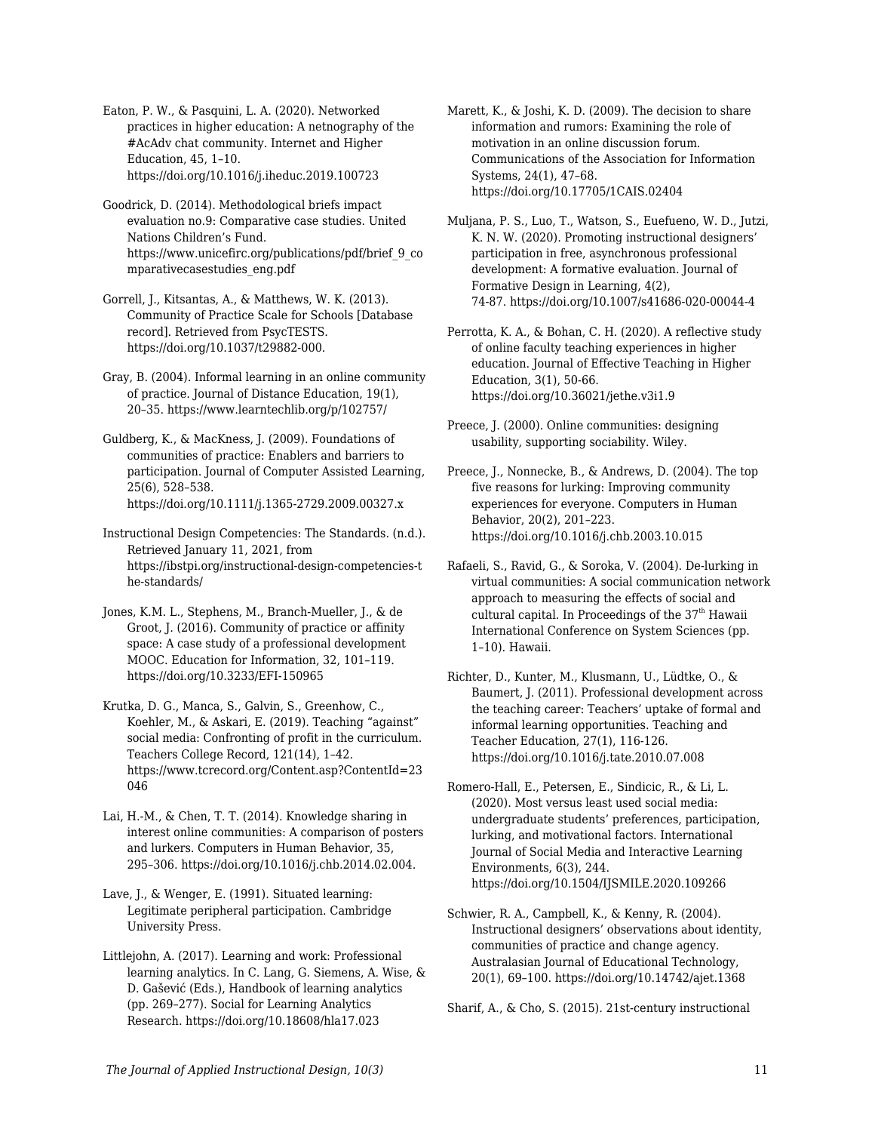Eaton, P. W., & Pasquini, L. A. (2020). Networked practices in higher education: A netnography of the #AcAdv chat community. Internet and Higher Education, 45, 1–10. https://doi.org/10.1016/j.iheduc.2019.100723

Goodrick, D. (2014). Methodological briefs impact evaluation no.9: Comparative case studies. United Nations Children's Fund. https://www.unicefirc.org/publications/pdf/brief\_9\_co mparativecasestudies\_eng.pdf

Gorrell, J., Kitsantas, A., & Matthews, W. K. (2013). Community of Practice Scale for Schools [Database record]. Retrieved from PsycTESTS. https://doi.org/10.1037/t29882-000.

Gray, B. (2004). Informal learning in an online community of practice. Journal of Distance Education, 19(1), 20–35. https://www.learntechlib.org/p/102757/

Guldberg, K., & MacKness, J. (2009). Foundations of communities of practice: Enablers and barriers to participation. Journal of Computer Assisted Learning, 25(6), 528–538. https://doi.org/10.1111/j.1365-2729.2009.00327.x

Instructional Design Competencies: The Standards. (n.d.). Retrieved January 11, 2021, from https://ibstpi.org/instructional-design-competencies-t he-standards/

Jones, K.M. L., Stephens, M., Branch-Mueller, J., & de Groot, J. (2016). Community of practice or affinity space: A case study of a professional development MOOC. Education for Information, 32, 101–119. https://doi.org/10.3233/EFI-150965

Krutka, D. G., Manca, S., Galvin, S., Greenhow, C., Koehler, M., & Askari, E. (2019). Teaching "against" social media: Confronting of profit in the curriculum. Teachers College Record, 121(14), 1–42. https://www.tcrecord.org/Content.asp?ContentId=23 046

Lai, H.-M., & Chen, T. T. (2014). Knowledge sharing in interest online communities: A comparison of posters and lurkers. Computers in Human Behavior, 35, 295–306. https://doi.org/10.1016/j.chb.2014.02.004.

Lave, J., & Wenger, E. (1991). Situated learning: Legitimate peripheral participation. Cambridge University Press.

Littlejohn, A. (2017). Learning and work: Professional learning analytics. In C. Lang, G. Siemens, A. Wise, & D. Gašević (Eds.), Handbook of learning analytics (pp. 269–277). Social for Learning Analytics Research. https://doi.org/10.18608/hla17.023

Marett, K., & Joshi, K. D. (2009). The decision to share information and rumors: Examining the role of motivation in an online discussion forum. Communications of the Association for Information Systems, 24(1), 47–68. https://doi.org/10.17705/1CAIS.02404

Muljana, P. S., Luo, T., Watson, S., Euefueno, W. D., Jutzi, K. N. W. (2020). Promoting instructional designers' participation in free, asynchronous professional development: A formative evaluation. Journal of Formative Design in Learning, 4(2), 74-87. https://doi.org/10.1007/s41686-020-00044-4

Perrotta, K. A., & Bohan, C. H. (2020). A reflective study of online faculty teaching experiences in higher education. Journal of Effective Teaching in Higher Education, 3(1), 50-66. https://doi.org/10.36021/jethe.v3i1.9

Preece, J. (2000). Online communities: designing usability, supporting sociability. Wiley.

Preece, J., Nonnecke, B., & Andrews, D. (2004). The top five reasons for lurking: Improving community experiences for everyone. Computers in Human Behavior, 20(2), 201–223. https://doi.org/10.1016/j.chb.2003.10.015

Rafaeli, S., Ravid, G., & Soroka, V. (2004). De-lurking in virtual communities: A social communication network approach to measuring the effects of social and cultural capital. In Proceedings of the  $37<sup>th</sup>$  Hawaii International Conference on System Sciences (pp. 1–10). Hawaii.

Richter, D., Kunter, M., Klusmann, U., Lüdtke, O., & Baumert, J. (2011). Professional development across the teaching career: Teachers' uptake of formal and informal learning opportunities. Teaching and Teacher Education, 27(1), 116-126. https://doi.org/10.1016/j.tate.2010.07.008

Romero-Hall, E., Petersen, E., Sindicic, R., & Li, L. (2020). Most versus least used social media: undergraduate students' preferences, participation, lurking, and motivational factors. International Journal of Social Media and Interactive Learning Environments, 6(3), 244. https://doi.org/10.1504/IJSMILE.2020.109266

Schwier, R. A., Campbell, K., & Kenny, R. (2004). Instructional designers' observations about identity, communities of practice and change agency. Australasian Journal of Educational Technology, 20(1), 69–100. https://doi.org/10.14742/ajet.1368

Sharif, A., & Cho, S. (2015). 21st-century instructional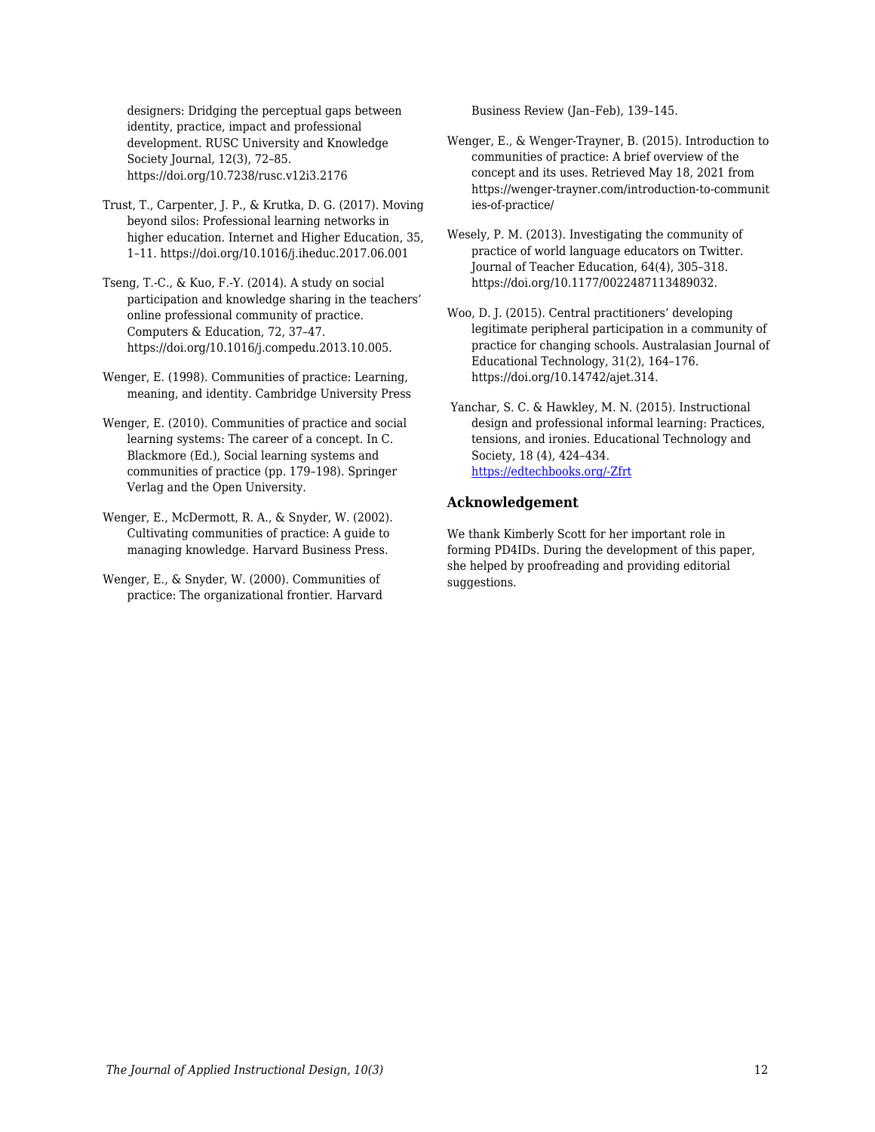designers: Dridging the perceptual gaps between identity, practice, impact and professional development. RUSC University and Knowledge Society Journal, 12(3), 72–85. https://doi.org/10.7238/rusc.v12i3.2176

- Trust, T., Carpenter, J. P., & Krutka, D. G. (2017). Moving beyond silos: Professional learning networks in higher education. Internet and Higher Education, 35, 1–11. https://doi.org/10.1016/j.iheduc.2017.06.001
- Tseng, T.-C., & Kuo, F.-Y. (2014). A study on social participation and knowledge sharing in the teachers' online professional community of practice. Computers & Education, 72, 37–47. https://doi.org/10.1016/j.compedu.2013.10.005.
- Wenger, E. (1998). Communities of practice: Learning, meaning, and identity. Cambridge University Press
- Wenger, E. (2010). Communities of practice and social learning systems: The career of a concept. In C. Blackmore (Ed.), Social learning systems and communities of practice (pp. 179–198). Springer Verlag and the Open University.
- Wenger, E., McDermott, R. A., & Snyder, W. (2002). Cultivating communities of practice: A guide to managing knowledge. Harvard Business Press.
- Wenger, E., & Snyder, W. (2000). Communities of practice: The organizational frontier. Harvard

Business Review (Jan–Feb), 139–145.

- Wenger, E., & Wenger-Trayner, B. (2015). Introduction to communities of practice: A brief overview of the concept and its uses. Retrieved May 18, 2021 from https://wenger-trayner.com/introduction-to-communit ies-of-practice/
- Wesely, P. M. (2013). Investigating the community of practice of world language educators on Twitter. Journal of Teacher Education, 64(4), 305–318. https://doi.org/10.1177/0022487113489032.
- Woo, D. J. (2015). Central practitioners' developing legitimate peripheral participation in a community of practice for changing schools. Australasian Journal of Educational Technology, 31(2), 164–176. https://doi.org/10.14742/ajet.314.
- Yanchar, S. C. & Hawkley, M. N. (2015). Instructional design and professional informal learning: Practices, tensions, and ironies. Educational Technology and Society, 18 (4), 424–434. [https://edtechbooks.org/-Zfrt](https://drive.google.com/open?id=11AuusEZE0hxUa880S5uJAZ_c7YMtZCKh)

#### **Acknowledgement**

We thank Kimberly Scott for her important role in forming PD4IDs. During the development of this paper, she helped by proofreading and providing editorial suggestions.